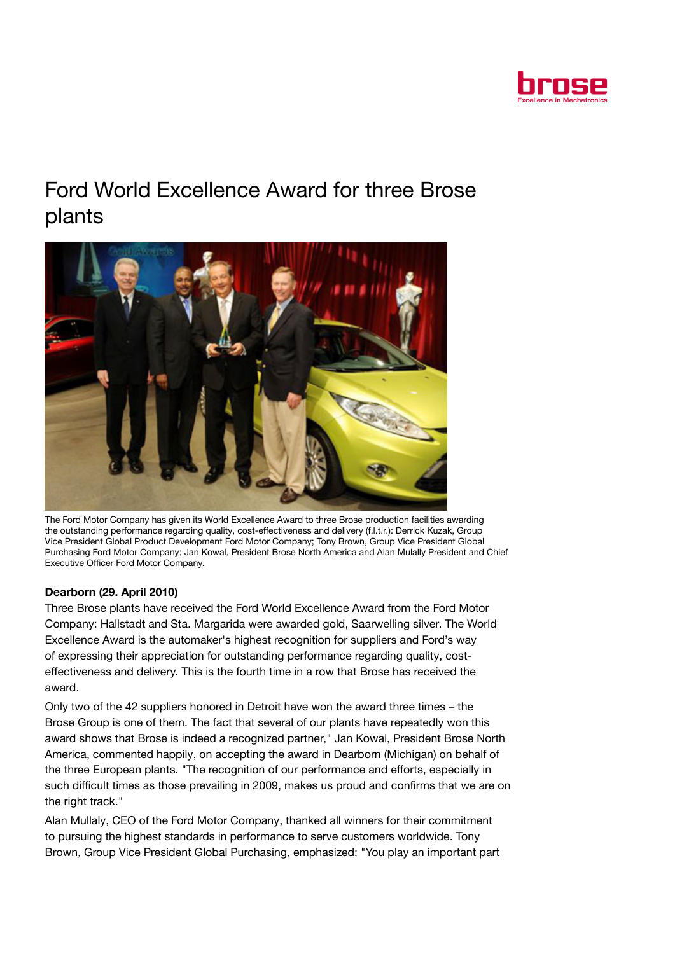

## Ford World Excellence Award for three Brose plants



The Ford Motor Company has given its World Excellence Award to three Brose production facilities awarding the outstanding performance regarding quality, cost-effectiveness and delivery (f.l.t.r.): Derrick Kuzak, Group Vice President Global Product Development Ford Motor Company; Tony Brown, Group Vice President Global Purchasing Ford Motor Company; Jan Kowal, President Brose North America and Alan Mulally President and Chief Executive Officer Ford Motor Company.

## Dearborn (29. April 2010)

Three Brose plants have received the Ford World Excellence Award from the Ford Motor Company: Hallstadt and Sta. Margarida were awarded gold, Saarwelling silver. The World Excellence Award is the automaker's highest recognition for suppliers and Ford's way of expressing their appreciation for outstanding performance regarding quality, costeffectiveness and delivery. This is the fourth time in a row that Brose has received the award.

Only two of the 42 suppliers honored in Detroit have won the award three times – the Brose Group is one of them. The fact that several of our plants have repeatedly won this award shows that Brose is indeed a recognized partner," Jan Kowal, President Brose North America, commented happily, on accepting the award in Dearborn (Michigan) on behalf of the three European plants. "The recognition of our performance and efforts, especially in such difficult times as those prevailing in 2009, makes us proud and confirms that we are on the right track."

Alan Mullaly, CEO of the Ford Motor Company, thanked all winners for their commitment to pursuing the highest standards in performance to serve customers worldwide. Tony Brown, Group Vice President Global Purchasing, emphasized: "You play an important part